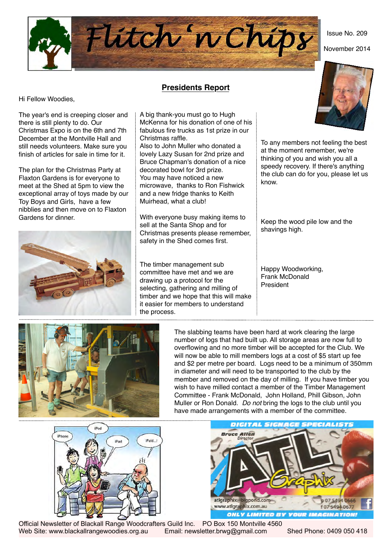Issue No. 209

November 2014



## **Presidents Report**

Hi Fellow Woodies,

The year's end is creeping closer and there is still plenty to do. Our Christmas Expo is on the 6th and 7th December at the Montville Hall and still needs volunteers. Make sure you finish of articles for sale in time for it.

The plan for the Christmas Party at Flaxton Gardens is for everyone to meet at the Shed at 5pm to view the exceptional array of toys made by our Toy Boys and Girls, have a few nibblies and then move on to Flaxton Gardens for dinner.



A big thank-you must go to Hugh McKenna for his donation of one of his fabulous fire trucks as 1st prize in our Christmas raffle.

Also to John Muller who donated a lovely Lazy Susan for 2nd prize and Bruce Chapman's donation of a nice decorated bowl for 3rd prize. You may have noticed a new microwave, thanks to Ron Fishwick and a new fridge thanks to Keith Muirhead, what a club!

With everyone busy making items to sell at the Santa Shop and for Christmas presents please remember, safety in the Shed comes first.

The timber management sub committee have met and we are drawing up a protocol for the selecting, gathering and milling of timber and we hope that this will make it easier for members to understand the process.



To any members not feeling the best at the moment remember, we're thinking of you and wish you all a speedy recovery. If there's anything the club can do for you, please let us know.

Keep the wood pile low and the shavings high.

Happy Woodworking, Frank McDonald President



The slabbing teams have been hard at work clearing the large number of logs that had built up. All storage areas are now full to overflowing and no more timber will be accepted for the Club. We will now be able to mill members logs at a cost of \$5 start up fee and \$2 per metre per board. Logs need to be a minimum of 350mm in diameter and will need to be transported to the club by the member and removed on the day of milling. If you have timber you wish to have milled contact a member of the Timber Management Committee - Frank McDonald, John Holland, Phill Gibson, John Muller or Ron Donald. *Do not* bring the logs to the club until you have made arrangements with a member of the committee.





Official Newsletter of Blackall Range Woodcrafters Guild Inc. PO Box 150 Montville 4560 Web Site: www.blackallrangewoodies.org.au Email: newsletter.brwg@gmail.com Shed Phone: 0409 050 418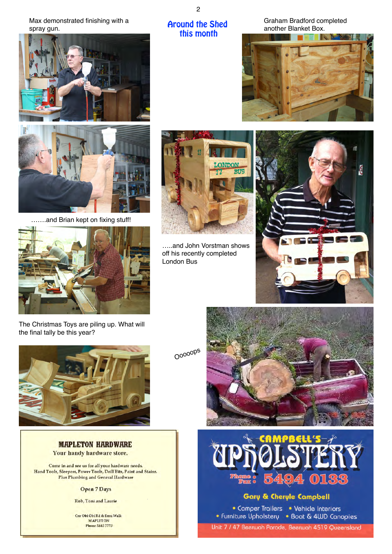Max demonstrated finishing with a spray gun.





…….and Brian kept on fixing stuff!





Around the Shed this month

2

…..and John Vorstman shows off his recently completed London Bus

Graham Bradford completed another Blanket Box.





The Christmas Toys are piling up. What will the final tally be this year?



**MAPLETON HARDWARE** Your handy hardware store.

Come in and see us for all your hardware needs. Hand Tools, Sleepers, Power Tools, Drill Bits, Paint and Stains. Plus Plumbing and General Hardware

#### Open 7 Days

Rob, Toni and Laurie

Cnr Obi Obi Rd & Emu Walk MAPLETON<br>Phone 5445 7773

Ooooops





# Gary & Cheryle Campbell

• Camper Trailers • Vehicle Interiors • Furniture Upholstery • Boat & 4WD Canopies Unit 7 / 47 Beerwah Parade, Beerwah 4519 Queensland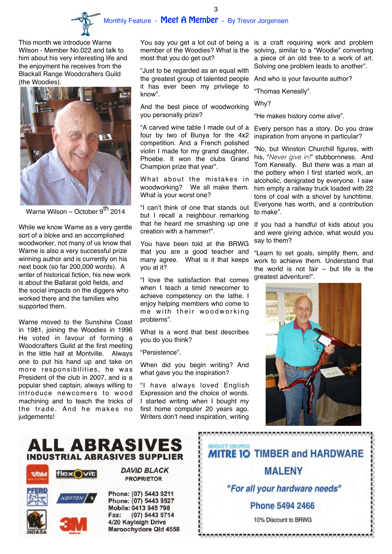

3

This month we introduce Warne Wilson - Member No.022 and talk to him about his very interesting life and the enjoyment he receives from the Blackall Range Woodcrafters Guild (the Woodies).



Warne Wilson – October 9<sup>th</sup> 2014

While we know Warne as a very gentle sort of a bloke and an accomplished woodworker, not many of us know that Warne is also a very successful prize winning author and is currently on his next book (so far 200,000 words). A writer of historical fiction, his new work is about the Ballarat gold fields, and the social impacts on the diggers who worked there and the families who supported them.

Warne moved to the Sunshine Coast in 1981, joining the Woodies in 1996 He voted in favour of forming a Woodcrafters Guild at the first meeting in the little hall at Montville. Always one to put his hand up and take on more responsibilities, he was President of the club in 2007, and is a popular shed captain, always willing to introduce newcomers to wood machining and to teach the tricks of the trade. And he makes no judgements!

member of the Woodies? What is the most that you do get out?

"Just to be regarded as an equal with the greatest group of talented people it has ever been my privilege to know".

And the best piece of woodworking you personally prize?

"A carved wine table I made out of a four by two of Bunya for the 4x2 competition. And a French polished violin I made for my grand daughter, Phoebe. It won the clubs Grand Champion prize that year".

What about the mistakes in woodworking? We all make them. What is your worst one?

"I can't think of one that stands out but I recall a neighbour remarking that he heard me smashing up one creation with a hammer!".

You have been told at the BRWG that you are a good teacher and many agree. What is it that keeps you at it?

"I love the satisfaction that comes when I teach a timid newcomer to achieve competency on the lathe. I enjoy helping members who come to me with their woodworking problems".

What is a word that best describes you do you think?

"Persistence".

When did you begin writing? And what gave you the inspiration?

"I have always loved English Expression and the choice of words. I started writing when I bought my first home computer 20 years ago. Writers don't need inspiration, writing

You say you get a lot out of being a is a craft requiring work and problem solving, similar to a "Woodie" converting a piece of an old tree to a work of art. Solving one problem leads to another".

And who is your favourite author?

"Thomas Keneally".

Why?

"He makes history come alive".

Every person has a story. Do you draw inspiration from anyone in particular?

"No, but Winston Churchill figures, with his, "*Never give in!*" stubbornness. And Tom Keneally. But there was a man at the pottery when I first started work, an alcoholic, denigrated by everyone. I saw him empty a railway truck loaded with 22 tons of coal with a shovel by lunchtime. Everyone has worth, and a contribution to make".

If you had a handful of kids about you and were giving advice, what would you say to them?

"Learn to set goals, simplify them, and work to achieve them. Understand that the world is not fair – but life is the greatest adventure!".



# ALL ABRASIVES **INDUSTRIAL ABRASIVES SUPPLIER**





Phone: (07) 5443 9211 Phone: (07) 5443 9527 Mobile: 0413 945 798 Fax: (07) 5443 5714 4/20 Kayleigh Drive Maroochydore Qld 4558

**DAVID BLACK** 

**PROPRIETOR** 

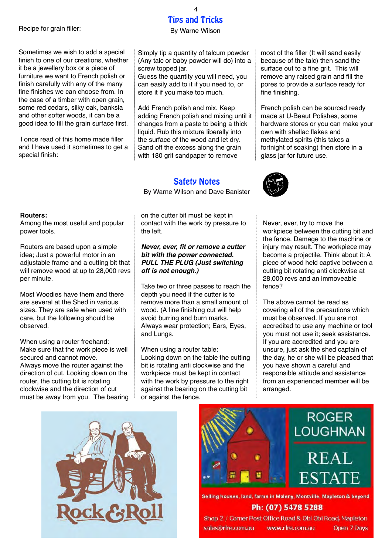#### Recipe for grain filler:

Sometimes we wish to add a special finish to one of our creations, whether it be a jewellery box or a piece of furniture we want to French polish or finish carefully with any of the many fine finishes we can choose from. In the case of a timber with open grain, some red cedars, silky oak, banksia and other softer woods, it can be a good idea to fill the grain surface first.

 I once read of this home made filler and I have used it sometimes to get a special finish:

#### **Routers:**

Among the most useful and popular power tools.

Routers are based upon a simple idea; Just a powerful motor in an adjustable frame and a cutting bit that will remove wood at up to 28,000 revs per minute.

Most Woodies have them and there are several at the Shed in various sizes. They are safe when used with care, but the following should be observed.

When using a router freehand: Make sure that the work piece is well secured and cannot move. Always move the router against the direction of cut. Looking down on the router, the cutting bit is rotating clockwise and the direction of cut must be away from you. The bearing Simply tip a quantity of talcum powder (Any talc or baby powder will do) into a

screw topped jar. Guess the quantity you will need, you can easily add to it if you need to, or store it if you make too much.

Add French polish and mix. Keep adding French polish and mixing until it changes from a paste to being a thick liquid. Rub this mixture liberally into the surface of the wood and let dry. Sand off the excess along the grain with 180 grit sandpaper to remove

## Safety Notes

By Warne Wilson and Dave Banister



*Never, ever, fit or remove a cutter bit with the power connected. PULL THE PLUG (Just switching off is not enough.)*

Take two or three passes to reach the depth you need if the cutter is to remove more than a small amount of wood. (A fine finishing cut will help avoid burring and burn marks. Always wear protection; Ears, Eyes, and Lungs.

When using a router table: Looking down on the table the cutting bit is rotating anti clockwise and the workpiece must be kept in contact with the work by pressure to the right against the bearing on the cutting bit or against the fence.

most of the filler (It will sand easily because of the talc) then sand the surface out to a fine grit. This will remove any raised grain and fill the pores to provide a surface ready for fine finishing.

French polish can be sourced ready made at U-Beaut Polishes, some hardware stores or you can make your own with shellac flakes and methylated spirits (this takes a fortnight of soaking) then store in a glass jar for future use.



Never, ever, try to move the workpiece between the cutting bit and the fence. Damage to the machine or injury may result. The workpiece may become a projectile. Think about it: A piece of wood held captive between a cutting bit rotating anti clockwise at 28,000 revs and an immoveable fence?

The above cannot be read as covering all of the precautions which must be observed. If you are not accredited to use any machine or tool you must not use it; seek assistance. If you are accredited and you are unsure, just ask the shed captain of the day, he or she will be pleased that you have shown a careful and responsible attitude and assistance from an experienced member will be arranged.





Selling houses, land, farms in Maleny, Montville, Mapleton & beyond Ph: (07) 5478 5288

Shop 2 / Corner Post Office Road & Obi Obi Road, Mapleton sales@rlre.com.au www.rlre.com.au

Open 7 Days

### Tips and Tricks 4

By Warne Wilson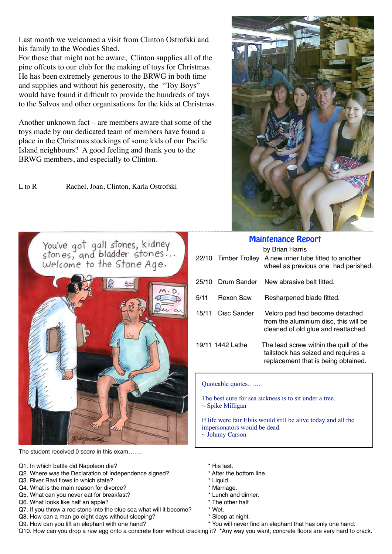Last month we welcomed a visit from Clinton Ostrofski and his family to the Woodies Shed.

For those that might not be aware, Clinton supplies all of the pine offcuts to our club for the making of toys for Christmas. He has been extremely generous to the BRWG in both time and supplies and without his generosity, the "Toy Boys" would have found it difficult to provide the hundreds of toys to the Salvos and other organisations for the kids at Christmas.

Another unknown fact – are members aware that some of the toys made by our dedicated team of members have found a place in the Christmas stockings of some kids of our Pacific Island neighbours? A good feeling and thank you to the BRWG members, and especially to Clinton.

L to R Rachel, Joan, Clinton, Karla Ostrofski



The student received 0 score in this exam…….

- Q1. In which battle did Napoleon die?  $\blacksquare$  \* His last.
- Q2. Where was the Declaration of Independence signed? \* After the bottom line.
- Q3. River Ravi flows in which state?
- Q4. What is the main reason for divorce?  $\blacksquare$  \* Marriage.
- Q5. What can you never eat for breakfast?<br>
Q6. What looks like half an apple?<br>  $\bullet$  \* The other half
- 
- Q6. What looks like half an apple?<br>Q7. If you throw a red stone into the blue sea what will it become?  $*$  Wet. Q7. If you throw a red stone into the blue sea what will it become? \* Wet.<br>Q8. How can a man go eight days without sleeping? \* Sleep at night.
- Q8. How can a man go eight days without sleeping?



| <b>Maintenance Report</b> |                  |                                                                                                                      |  |  |  |  |  |  |
|---------------------------|------------------|----------------------------------------------------------------------------------------------------------------------|--|--|--|--|--|--|
| 22/10                     | Timber Trolley   | by Brian Harris<br>A new inner tube fitted to another<br>wheel as previous one had perished.                         |  |  |  |  |  |  |
| 25/10                     | Drum Sander      | New abrasive belt fitted.                                                                                            |  |  |  |  |  |  |
| 5/11                      | <b>Rexon Saw</b> | Resharpened blade fitted.                                                                                            |  |  |  |  |  |  |
| 15/11                     | Disc Sander      | Velcro pad had become detached<br>from the aluminium disc, this will be<br>cleaned of old glue and reattached.       |  |  |  |  |  |  |
|                           | 19/11 1442 Lathe | The lead screw within the quill of the<br>tailstock has seized and requires a<br>replacement that is being obtained. |  |  |  |  |  |  |

Quoteable quotes……

 The best cure for sea sickness is to sit under a tree.  $\sim$  Spike Milligan

 If life were fair Elvis would still be alive today and all the impersonators would be dead. ~ Johnny Carson

- 
- 
- 
- 
- 
- 
- 
- 
- 
- Q9. How can you lift an elephant with one hand? \* \* You will never find an elephant that has only one hand.

Q10. How can you drop a raw egg onto a concrete floor without cracking it? \*Any way you want, concrete floors are very hard to crack.

I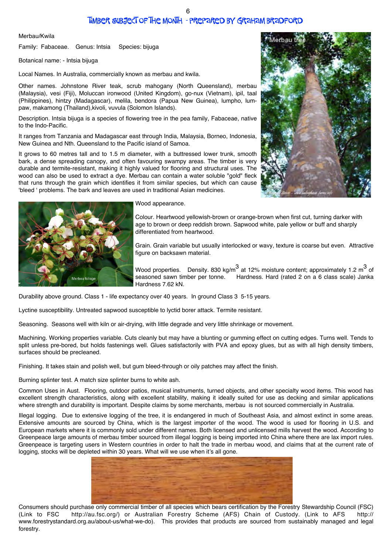## Timber Subject of the Month - prepared by Graham Bradford

Merbau/Kwila

Family: Fabaceae. Genus: Intsia Species: bijuga

Botanical name: - Intsia bijuga

Local Names. In Australia, commercially known as merbau and kwila.

Other names. Johnstone River teak, scrub mahogany (North Queensland), merbau (Malaysia), vesi (Fiji), Moluccan ironwood (United Kingdom), go-nux (Vietnam), ipil, taal (Philippines), hintzy (Madagascar), melila, bendora (Papua New Guinea), lumpho, lumpaw, makamong (Thailand),kivoli, vuvula (Solomon Islands).

Description. Intsia bijuga is a species of flowering tree in the pea family, Fabaceae, native to the Indo-Pacific.

It ranges from Tanzania and Madagascar east through India, Malaysia, Borneo, Indonesia, New Guinea and Nth. Queensland to the Pacific island of Samoa.

It grows to 60 metres tall and to 1.5 m diameter, with a buttressed lower trunk, smooth bark, a dense spreading canopy, and often favouring swampy areas. The timber is very durable and termite-resistant, making it highly valued for flooring and structural uses. The wood can also be used to extract a dye. Merbau can contain a water soluble "gold" fleck that runs through the grain which identifies it from similar species, but which can cause 'bleed ' problems. The bark and leaves are used in traditional Asian medicines.



#### Wood appearance.

Colour. Heartwood yellowish-brown or orange-brown when first cut, turning darker with age to brown or deep reddish brown. Sapwood white, pale yellow or buff and sharply differentiated from heartwood.

Grain. Grain variable but usually interlocked or wavy, texture is coarse but even. Attractive figure on backsawn material.

Wood properties. Density. 830 kg/m $^3$  at 12% moisture content; approximately 1.2 m $^3$  of seasoned sawn timber per tonne. Hardness. Hard (rated 2 on a 6 class scale) Janka Hardness 7.62 kN.

Durability above ground. Class 1 - life expectancy over 40 years. In ground Class 3 5-15 years.

Lyctine susceptibility. Untreated sapwood susceptible to lyctid borer attack. Termite resistant.

Seasoning. Seasons well with kiln or air-drying, with little degrade and very little shrinkage or movement.

Machining. Working properties variable. Cuts cleanly but may have a blunting or gumming effect on cutting edges. Turns well. Tends to split unless pre-bored, but holds fastenings well. Glues satisfactorily with PVA and epoxy glues, but as with all high density timbers, surfaces should be precleaned.

Finishing. It takes stain and polish well, but gum bleed-through or oily patches may affect the finish.

Burning splinter test. A match size splinter burns to white ash.

Common Uses in Aust. Flooring, outdoor patios, musical instruments, turned objects, and other specialty wood items. This wood has excellent strength characteristics, along with excellent stability, making it ideally suited for use as decking and similar applications where strength and durability is important. Despite claims by some merchants, merbau is not sourced commercially in Australia.

Illegal logging. Due to extensive logging of the tree, it is endangered in much of Southeast Asia, and almost extinct in some areas. Extensive amounts are sourced by China, which is the largest importer of the wood. The wood is used for flooring in U.S. and European markets where it is commonly sold under different names. Both licensed and unlicensed mills harvest the wood. According to Greenpeace large amounts of merbau timber sourced from illegal logging is being imported into China where there are lax import rules. Greenpeace is targeting users in Western countries in order to halt the trade in merbau wood, and claims that at the current rate of logging, stocks will be depleted within 30 years. What will we use when it's all gone.



Consumers should purchase only commercial timber of all species which bears certification by the Forestry Stewardship Council (FSC) (Link to FSC http://au.fsc.org/) or Australian Forestry Scheme (AFS) Chain of Custody. (Link to AFS http:// www.forestrystandard.org.au/about-us/what-we-do). This provides that products are sourced from sustainably managed and legal forestry.